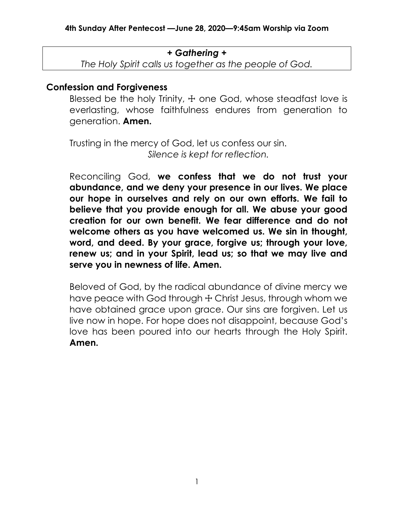### *+ Gathering +*

*The Holy Spirit calls us together as the people of God.*

## **Confession and Forgiveness**

Blessed be the holy Trinity,  $+$  one God, whose steadfast love is everlasting, whose faithfulness endures from generation to generation. **Amen.**

Trusting in the mercy of God, let us confess our sin. *Silence is kept for reflection.*

Reconciling God, **we confess that we do not trust your abundance, and we deny your presence in our lives. We place our hope in ourselves and rely on our own efforts. We fail to believe that you provide enough for all. We abuse your good creation for our own benefit. We fear difference and do not welcome others as you have welcomed us. We sin in thought, word, and deed. By your grace, forgive us; through your love, renew us; and in your Spirit, lead us; so that we may live and serve you in newness of life. Amen.**

Beloved of God, by the radical abundance of divine mercy we have peace with God through  $+$  Christ Jesus, through whom we have obtained grace upon grace. Our sins are forgiven. Let us live now in hope. For hope does not disappoint, because God's love has been poured into our hearts through the Holy Spirit. **Amen.**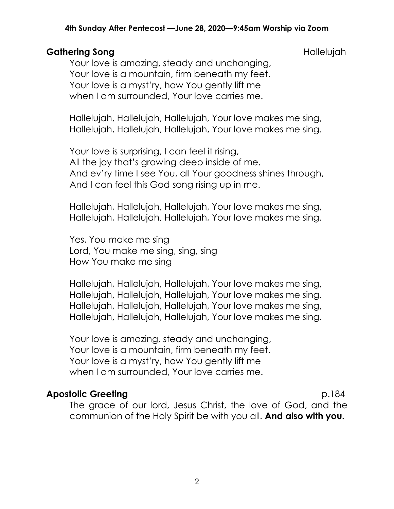#### **4th Sunday After Pentecost —June 28, 2020—9:45am Worship via Zoom**

## Gathering Song **Gathering Song**

Your love is amazing, steady and unchanging, Your love is a mountain, firm beneath my feet. Your love is a myst'ry, how You gently lift me when I am surrounded, Your love carries me.

Hallelujah, Hallelujah, Hallelujah, Your love makes me sing, Hallelujah, Hallelujah, Hallelujah, Your love makes me sing.

Your love is surprising, I can feel it rising, All the joy that's growing deep inside of me. And ev'ry time I see You, all Your goodness shines through, And I can feel this God song rising up in me.

Hallelujah, Hallelujah, Hallelujah, Your love makes me sing, Hallelujah, Hallelujah, Hallelujah, Your love makes me sing.

Yes, You make me sing Lord, You make me sing, sing, sing How You make me sing

Hallelujah, Hallelujah, Hallelujah, Your love makes me sing, Hallelujah, Hallelujah, Hallelujah, Your love makes me sing. Hallelujah, Hallelujah, Hallelujah, Your love makes me sing, Hallelujah, Hallelujah, Hallelujah, Your love makes me sing.

Your love is amazing, steady and unchanging, Your love is a mountain, firm beneath my feet. Your love is a myst'ry, how You gently lift me when I am surrounded, Your love carries me.

## **Apostolic Greeting**  p.184

The grace of our lord, Jesus Christ, the love of God, and the communion of the Holy Spirit be with you all. **And also with you.**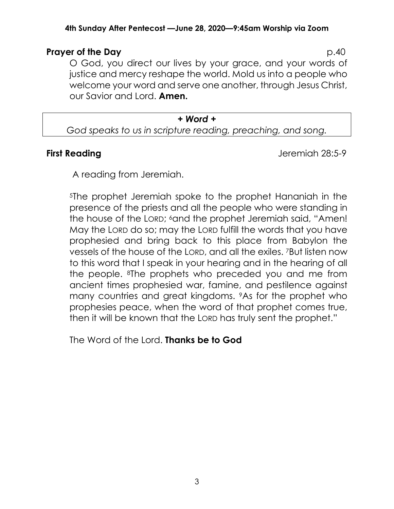#### **4th Sunday After Pentecost —June 28, 2020—9:45am Worship via Zoom**

## **Prayer of the Day** p.40

O God, you direct our lives by your grace, and your words of justice and mercy reshape the world. Mold us into a people who welcome your word and serve one another, through Jesus Christ, our Savior and Lord. **Amen.**

#### *+ Word + God speaks to us in scripture reading, preaching, and song.*

**First Reading Jeremiah 28:5-9** 

A reading from Jeremiah.

<sup>5</sup>The prophet Jeremiah spoke to the prophet Hananiah in the presence of the priests and all the people who were standing in the house of the LORD; 6and the prophet Jeremiah said, "Amen! May the LORD do so; may the LORD fulfill the words that you have prophesied and bring back to this place from Babylon the vessels of the house of the LORD, and all the exiles. 7But listen now to this word that I speak in your hearing and in the hearing of all the people. 8The prophets who preceded you and me from ancient times prophesied war, famine, and pestilence against many countries and great kingdoms. 9As for the prophet who prophesies peace, when the word of that prophet comes true, then it will be known that the LORD has truly sent the prophet."

The Word of the Lord. **Thanks be to God**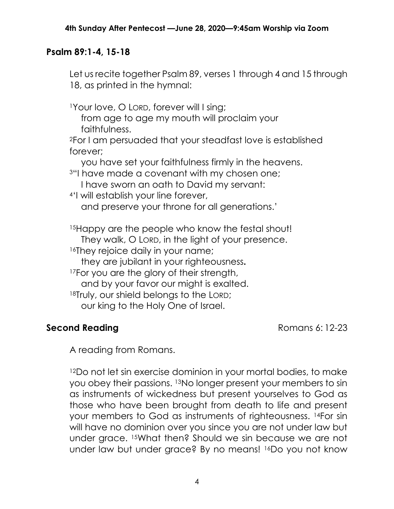# **Psalm 89:1-4, 15-18**

Let us recite together Psalm 89, verses 1 through 4 and 15 through 18, as printed in the hymnal:

<sup>1</sup>Your love, O LORD, forever will I sing;

from age to age my mouth will proclaim your faithfulness.

<sup>2</sup>For I am persuaded that your steadfast love is established forever;

you have set your faithfulness firmly in the heavens.

<sup>3</sup>"I have made a covenant with my chosen one;

I have sworn an oath to David my servant:

<sup>4</sup>'I will establish your line forever, and preserve your throne for all generations.'

15Happy are the people who know the festal shout! They walk, O LORD, in the light of your presence. <sup>16</sup>They rejoice daily in your name;

they are jubilant in your righteousness**.**

<sup>17</sup>For you are the glory of their strength,

and by your favor our might is exalted.

18Truly, our shield belongs to the LORD;

our king to the Holy One of Israel.

# **Second Reading** Romans 6: 12-23

A reading from Romans.

<sup>12</sup>Do not let sin exercise dominion in your mortal bodies, to make you obey their passions. 13No longer present your members to sin as instruments of wickedness but present yourselves to God as those who have been brought from death to life and present your members to God as instruments of righteousness. 14For sin will have no dominion over you since you are not under law but under grace. 15What then? Should we sin because we are not under law but under grace? By no means! 16Do you not know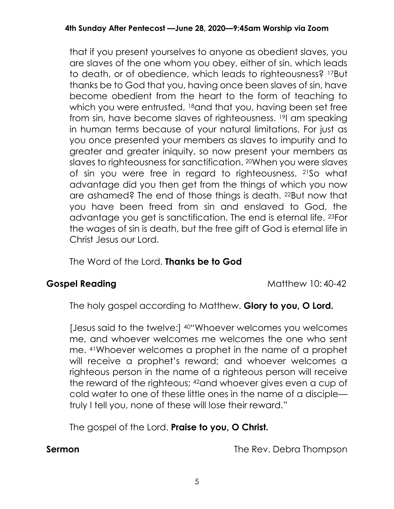that if you present yourselves to anyone as obedient slaves, you are slaves of the one whom you obey, either of sin, which leads to death, or of obedience, which leads to righteousness? 17But thanks be to God that you, having once been slaves of sin, have become obedient from the heart to the form of teaching to which you were entrusted, 18and that you, having been set free from sin, have become slaves of righteousness. 19I am speaking in human terms because of your natural limitations. For just as you once presented your members as slaves to impurity and to greater and greater iniquity, so now present your members as slaves to righteousness for sanctification. 20When you were slaves of sin you were free in regard to righteousness. 21So what advantage did you then get from the things of which you now are ashamed? The end of those things is death. 22But now that you have been freed from sin and enslaved to God, the advantage you get is sanctification. The end is eternal life. 23For the wages of sin is death, but the free gift of God is eternal life in Christ Jesus our Lord.

The Word of the Lord. **Thanks be to God**

**Gospel Reading**  Matthew 10: 40-42

The holy gospel according to Matthew. **Glory to you, O Lord.**

[Jesus said to the twelve:] 40"Whoever welcomes you welcomes me, and whoever welcomes me welcomes the one who sent me. 41Whoever welcomes a prophet in the name of a prophet will receive a prophet's reward; and whoever welcomes a righteous person in the name of a righteous person will receive the reward of the righteous; 42and whoever gives even a cup of cold water to one of these little ones in the name of a disciple truly I tell you, none of these will lose their reward."

The gospel of the Lord. **Praise to you, O Christ.**

**Sermon** The Rev. Debra Thompson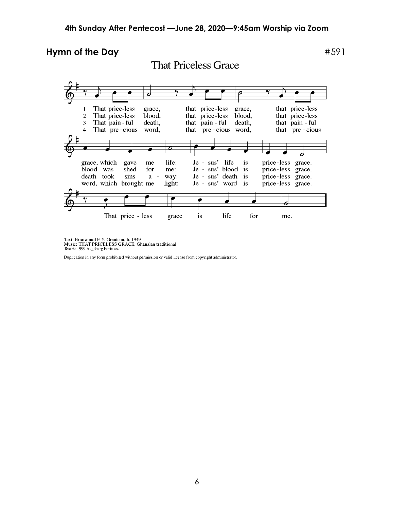### **Hymn of the Day**  $#591$

 $\overline{\mathbf{e}}$ ᆏ P that price-less That price-less grace, that price-less  $\mathbf{1}$ grace, That price-less that price-less that price-less  $\overline{2}$ blood, blood, 3 That pain - ful death, that pain - ful death, that pain - ful That pre-cious that pre-cious word, that pre-cious  $\overline{4}$ word, grace, which life: Je - sus' life price-less grace. gave me is Je - sus' blood is<br>Je - sus' death is<br>Je - sus' word is blood was shed price-less grace. for me: death took sins  $\overline{\phantom{a}}$ way: price-less grace. a word, which brought me light: price-less grace.  $\bullet$ e That price - less  $\mathbf{is}% =\mathbf{v}^{T}\mathbf{v}^{T}$ life for grace me.

Text: Emmanuel F. Y. Grantson, b. 1949<br>Music: THAT PRICELESS GRACE, Ghanaian traditional<br>Text © 1999 Augsburg Fortress.

Duplication in any form prohibited without permission or valid license from copyright administrator.

**That Priceless Grace**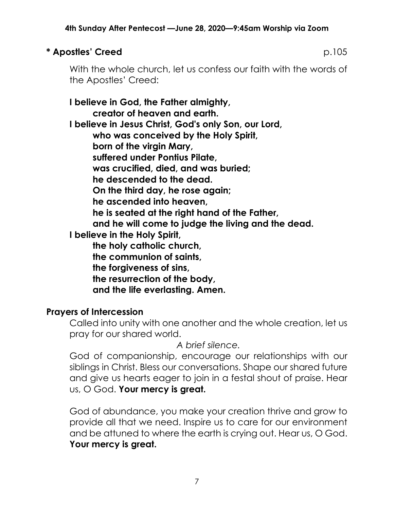# **\* Apostles' Creed** p.105

With the whole church, let us confess our faith with the words of the Apostles' Creed:

**I believe in God, the Father almighty, creator of heaven and earth. I believe in Jesus Christ, God's only Son, our Lord, who was conceived by the Holy Spirit, born of the virgin Mary, suffered under Pontius Pilate, was crucified, died, and was buried; he descended to the dead. On the third day, he rose again; he ascended into heaven, he is seated at the right hand of the Father, and he will come to judge the living and the dead. I believe in the Holy Spirit, the holy catholic church, the communion of saints, the forgiveness of sins, the resurrection of the body, and the life everlasting. Amen.**

# **Prayers of Intercession**

Called into unity with one another and the whole creation, let us pray for our shared world.

*A brief silence.*

God of companionship, encourage our relationships with our siblings in Christ. Bless our conversations. Shape our shared future and give us hearts eager to join in a festal shout of praise. Hear us, O God. **Your mercy is great.**

God of abundance, you make your creation thrive and grow to provide all that we need. Inspire us to care for our environment and be attuned to where the earth is crying out. Hear us, O God. **Your mercy is great.**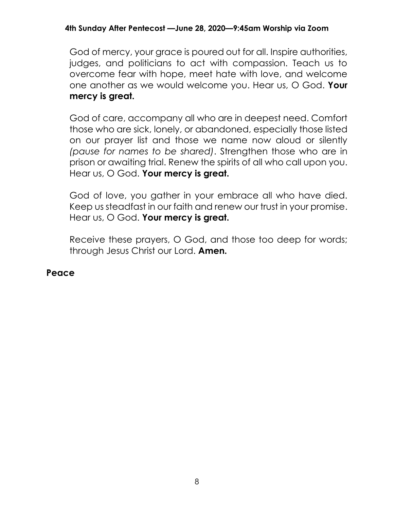### **4th Sunday After Pentecost —June 28, 2020—9:45am Worship via Zoom**

God of mercy, your grace is poured out for all. Inspire authorities, judges, and politicians to act with compassion. Teach us to overcome fear with hope, meet hate with love, and welcome one another as we would welcome you. Hear us, O God. **Your mercy is great.**

God of care, accompany all who are in deepest need. Comfort those who are sick, lonely, or abandoned, especially those listed on our prayer list and those we name now aloud or silently *(pause for names to be shared)*. Strengthen those who are in prison or awaiting trial. Renew the spirits of all who call upon you. Hear us, O God. **Your mercy is great.**

God of love, you gather in your embrace all who have died. Keep us steadfast in our faith and renew our trust in your promise. Hear us, O God. **Your mercy is great.**

Receive these prayers, O God, and those too deep for words; through Jesus Christ our Lord. **Amen.**

### **Peace**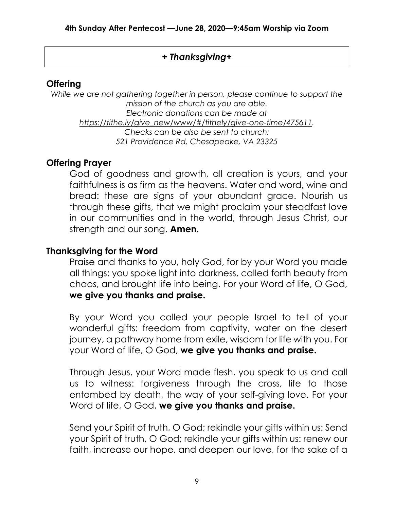# *+ Thanksgiving+*

## **Offering**

*While we are not gathering together in person, please continue to support the mission of the church as you are able. Electronic donations can be made at [https://tithe.ly/give\\_new/www/#/tithely/give-one-time/475611.](https://tithe.ly/give_new/www/#/tithely/give-one-time/475611) Checks can be also be sent to church: 521 Providence Rd, Chesapeake, VA 23325*

# **Offering Prayer**

God of goodness and growth, all creation is yours, and your faithfulness is as firm as the heavens. Water and word, wine and bread: these are signs of your abundant grace. Nourish us through these gifts, that we might proclaim your steadfast love in our communities and in the world, through Jesus Christ, our strength and our song. **Amen.**

# **Thanksgiving for the Word**

Praise and thanks to you, holy God, for by your Word you made all things: you spoke light into darkness, called forth beauty from chaos, and brought life into being. For your Word of life, O God, **we give you thanks and praise.**

By your Word you called your people Israel to tell of your wonderful gifts: freedom from captivity, water on the desert journey, a pathway home from exile, wisdom for life with you. For your Word of life, O God, **we give you thanks and praise.**

Through Jesus, your Word made flesh, you speak to us and call us to witness: forgiveness through the cross, life to those entombed by death, the way of your self-giving love. For your Word of life, O God, **we give you thanks and praise.**

Send your Spirit of truth, O God; rekindle your gifts within us: Send your Spirit of truth, O God; rekindle your gifts within us: renew our faith, increase our hope, and deepen our love, for the sake of a